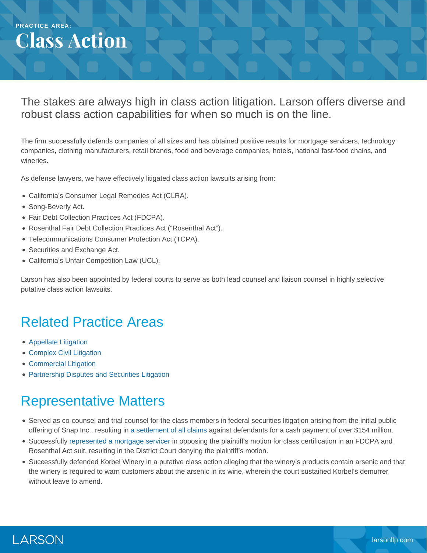## **PRACTICE AREA: Class Action**

#### The stakes are always high in class action litigation. Larson offers diverse and robust class action capabilities for when so much is on the line.

The firm successfully defends companies of all sizes and has obtained positive results for mortgage servicers, technology companies, clothing manufacturers, retail brands, food and beverage companies, hotels, national fast-food chains, and wineries.

As defense lawyers, we have effectively litigated class action lawsuits arising from:

- California's Consumer Legal Remedies Act (CLRA).
- Song-Beverly Act.
- Fair Debt Collection Practices Act (FDCPA).
- Rosenthal Fair Debt Collection Practices Act ("Rosenthal Act").
- Telecommunications Consumer Protection Act (TCPA).
- Securities and Exchange Act.
- California's Unfair Competition Law (UCL).

Larson has also been appointed by federal courts to serve as both lead counsel and liaison counsel in highly selective putative class action lawsuits.

## Related Practice Areas

- [Appellate Litigation](https://www.larsonllp.com/practice-areas/appellate-litigation/)
- [Complex Civil Litigation](https://www.larsonllp.com/practice-areas/complex-civil-litigation/)
- [Commercial Litigation](https://www.larsonllp.com/practice-areas/complex-civil-litigation/commercial-litigation/)
- [Partnership Disputes and Securities Litigation](https://www.larsonllp.com/practice-areas/complex-civil-litigation/partnership-disputes-and-securities-litigation/)

# Representative Matters

- Served as co-counsel and trial counsel for the class members in federal securities litigation arising from the initial public offering of Snap Inc., resulting in [a settlement of all claims](https://www.larsonllp.com/snap-ipo-class-action-draws-to-a-triumphant-close/) against defendants for a cash payment of over \$154 million.
- Successfully [represented a mortgage servicer](https://www.larsonllp.com/court-denies-motion-to-certify-class-in-favor-of-larson-client/) in opposing the plaintiff's motion for class certification in an FDCPA and Rosenthal Act suit, resulting in the District Court denying the plaintiff's motion.
- Successfully defended Korbel Winery in a putative class action alleging that the winery's products contain arsenic and that the winery is required to warn customers about the arsenic in its wine, wherein the court sustained Korbel's demurrer without leave to amend.